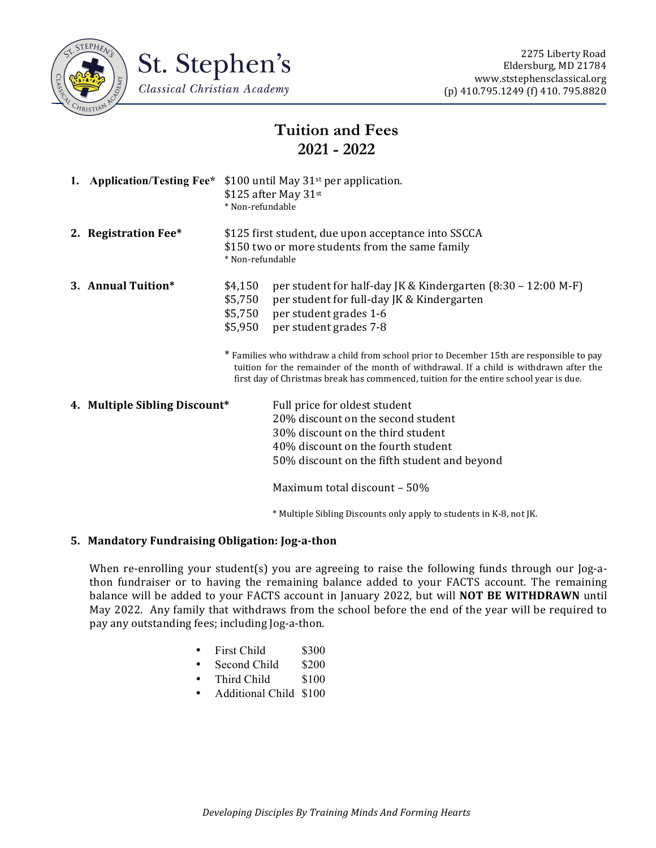



# **Tuition and Fees 2021 - 2022**

| 1. Application/Testing Fee*   | \$100 until May $31st$ per application.<br>\$125 after May 31st<br>* Non-refundable                                        |                                                                                                                                                                                                                                                                                                                                                                                                                                                   |
|-------------------------------|----------------------------------------------------------------------------------------------------------------------------|---------------------------------------------------------------------------------------------------------------------------------------------------------------------------------------------------------------------------------------------------------------------------------------------------------------------------------------------------------------------------------------------------------------------------------------------------|
| 2. Registration Fee*          | \$125 first student, due upon acceptance into SSCCA<br>\$150 two or more students from the same family<br>* Non-refundable |                                                                                                                                                                                                                                                                                                                                                                                                                                                   |
| 3. Annual Tuition*            | \$4,150<br>\$5,750<br>\$5,750<br>\$5,950                                                                                   | per student for half-day JK & Kindergarten (8:30 – 12:00 M-F)<br>per student for full-day JK & Kindergarten<br>per student grades 1-6<br>per student grades 7-8<br>* Families who withdraw a child from school prior to December 15th are responsible to pay<br>tuition for the remainder of the month of withdrawal. If a child is withdrawn after the<br>first day of Christmas break has commenced, tuition for the entire school year is due. |
| 4. Multiple Sibling Discount* |                                                                                                                            | Full price for oldest student<br>20% discount on the second student<br>30% discount on the third student<br>40% discount on the fourth student<br>50% discount on the fifth student and beyond<br>Maximum total discount - 50%<br>* Multiple Sibling Discounts only apply to students in K-8, not JK.                                                                                                                                             |

## **5. Mandatory Fundraising Obligation: Jog-a-thon**

When re-enrolling your student(s) you are agreeing to raise the following funds through our Jog-athon fundraiser or to having the remaining balance added to your FACTS account. The remaining balance will be added to your FACTS account in January 2022, but will **NOT BE WITHDRAWN** until May 2022. Any family that withdraws from the school before the end of the year will be required to pay any outstanding fees; including Jog-a-thon.

- First Child \$300
- Second Child \$200
- Third Child \$100
- Additional Child \$100